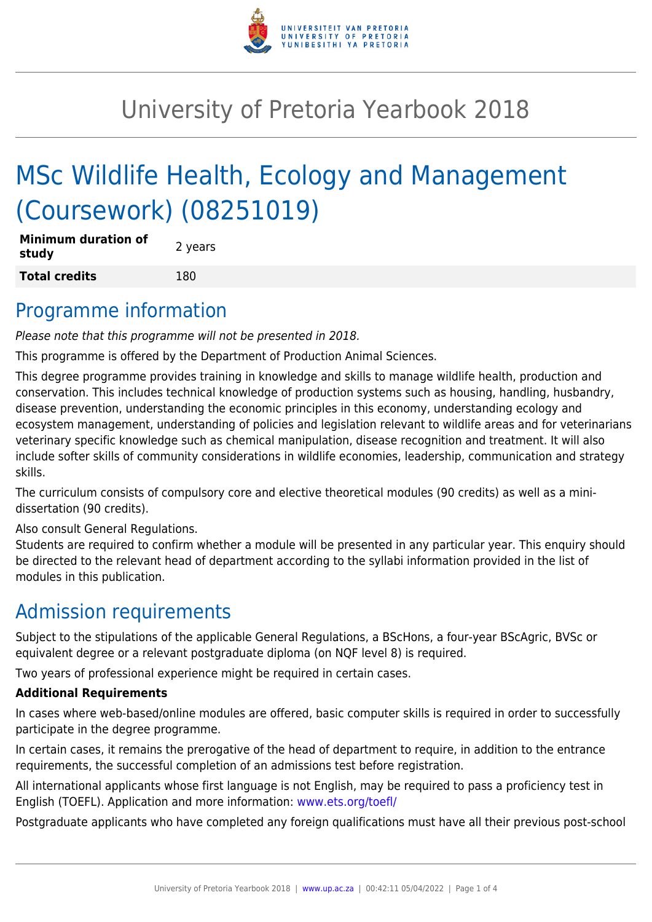

# University of Pretoria Yearbook 2018

# MSc Wildlife Health, Ecology and Management (Coursework) (08251019)

| <b>Minimum duration of</b><br>study | 2 years |
|-------------------------------------|---------|
| <b>Total credits</b>                | 180     |

#### Programme information

Please note that this programme will not be presented in 2018.

This programme is offered by the Department of Production Animal Sciences.

This degree programme provides training in knowledge and skills to manage wildlife health, production and conservation. This includes technical knowledge of production systems such as housing, handling, husbandry, disease prevention, understanding the economic principles in this economy, understanding ecology and ecosystem management, understanding of policies and legislation relevant to wildlife areas and for veterinarians veterinary specific knowledge such as chemical manipulation, disease recognition and treatment. It will also include softer skills of community considerations in wildlife economies, leadership, communication and strategy skills.

The curriculum consists of compulsory core and elective theoretical modules (90 credits) as well as a minidissertation (90 credits).

Also consult General Regulations.

Students are required to confirm whether a module will be presented in any particular year. This enquiry should be directed to the relevant head of department according to the syllabi information provided in the list of modules in this publication.

## Admission requirements

Subject to the stipulations of the applicable General Regulations, a BScHons, a four-year BScAgric, BVSc or equivalent degree or a relevant postgraduate diploma (on NQF level 8) is required.

Two years of professional experience might be required in certain cases.

#### **Additional Requirements**

In cases where web-based/online modules are offered, basic computer skills is required in order to successfully participate in the degree programme.

In certain cases, it remains the prerogative of the head of department to require, in addition to the entrance requirements, the successful completion of an admissions test before registration.

All international applicants whose first language is not English, may be required to pass a proficiency test in English (TOEFL). Application and more information: [www.ets.org/toefl/](http://www.ets.org/toefl/)

Postgraduate applicants who have completed any foreign qualifications must have all their previous post-school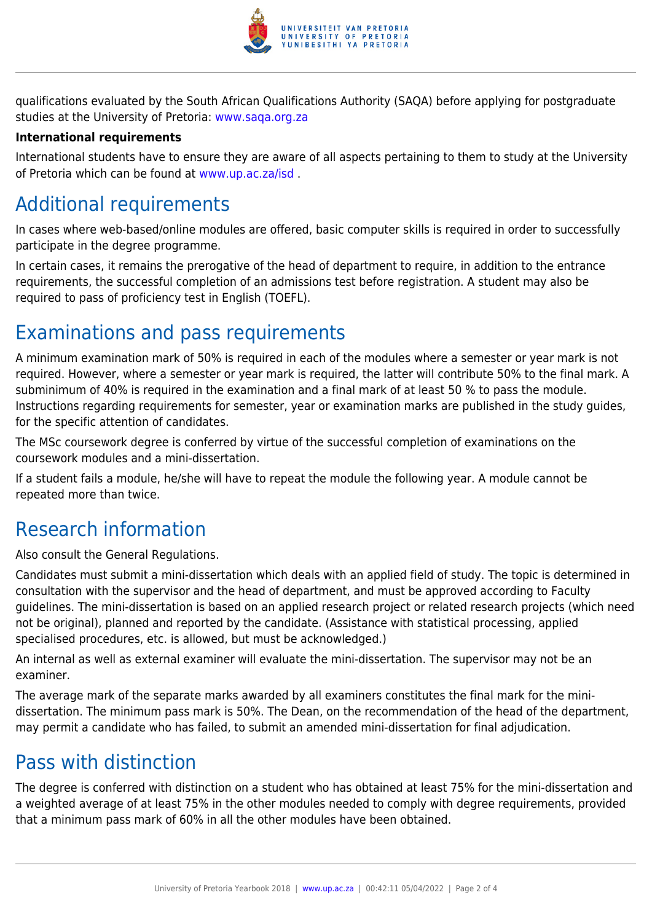

qualifications evaluated by the South African Qualifications Authority (SAQA) before applying for postgraduate studies at the University of Pretoria: [www.saqa.org.za](http://www.saqa.org.za)

#### **International requirements**

International students have to ensure they are aware of all aspects pertaining to them to study at the University of Pretoria which can be found at [www.up.ac.za/isd](http://www.up.ac.za/isd) .

## Additional requirements

In cases where web-based/online modules are offered, basic computer skills is required in order to successfully participate in the degree programme.

In certain cases, it remains the prerogative of the head of department to require, in addition to the entrance requirements, the successful completion of an admissions test before registration. A student may also be required to pass of proficiency test in English (TOEFL).

#### Examinations and pass requirements

A minimum examination mark of 50% is required in each of the modules where a semester or year mark is not required. However, where a semester or year mark is required, the latter will contribute 50% to the final mark. A subminimum of 40% is required in the examination and a final mark of at least 50 % to pass the module. Instructions regarding requirements for semester, year or examination marks are published in the study guides, for the specific attention of candidates.

The MSc coursework degree is conferred by virtue of the successful completion of examinations on the coursework modules and a mini-dissertation.

If a student fails a module, he/she will have to repeat the module the following year. A module cannot be repeated more than twice.

## Research information

Also consult the General Regulations.

Candidates must submit a mini-dissertation which deals with an applied field of study. The topic is determined in consultation with the supervisor and the head of department, and must be approved according to Faculty guidelines. The mini-dissertation is based on an applied research project or related research projects (which need not be original), planned and reported by the candidate. (Assistance with statistical processing, applied specialised procedures, etc. is allowed, but must be acknowledged.)

An internal as well as external examiner will evaluate the mini-dissertation. The supervisor may not be an examiner.

The average mark of the separate marks awarded by all examiners constitutes the final mark for the minidissertation. The minimum pass mark is 50%. The Dean, on the recommendation of the head of the department, may permit a candidate who has failed, to submit an amended mini-dissertation for final adjudication.

## Pass with distinction

The degree is conferred with distinction on a student who has obtained at least 75% for the mini-dissertation and a weighted average of at least 75% in the other modules needed to comply with degree requirements, provided that a minimum pass mark of 60% in all the other modules have been obtained.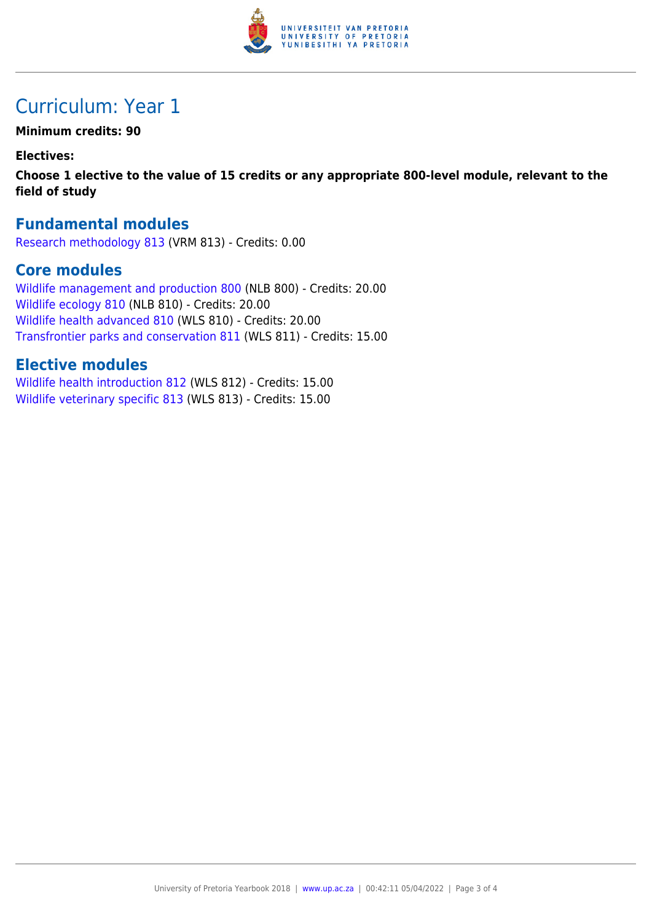

## Curriculum: Year 1

**Minimum credits: 90**

**Electives:**

**Choose 1 elective to the value of 15 credits or any appropriate 800-level module, relevant to the field of study**

#### **Fundamental modules**

[Research methodology 813](https://www.up.ac.za/yearbooks/2018/modules/view/VRM 813) (VRM 813) - Credits: 0.00

#### **Core modules**

[Wildlife management and production 800](https://www.up.ac.za/yearbooks/2018/modules/view/NLB 800) (NLB 800) - Credits: 20.00 [Wildlife ecology 810](https://www.up.ac.za/yearbooks/2018/modules/view/NLB 810) (NLB 810) - Credits: 20.00 [Wildlife health advanced 810](https://www.up.ac.za/yearbooks/2018/modules/view/WLS 810) (WLS 810) - Credits: 20.00 [Transfrontier parks and conservation 811](https://www.up.ac.za/yearbooks/2018/modules/view/WLS 811) (WLS 811) - Credits: 15.00

#### **Elective modules**

[Wildlife health introduction 812](https://www.up.ac.za/yearbooks/2018/modules/view/WLS 812) (WLS 812) - Credits: 15.00 [Wildlife veterinary specific 813](https://www.up.ac.za/yearbooks/2018/modules/view/WLS 813) (WLS 813) - Credits: 15.00